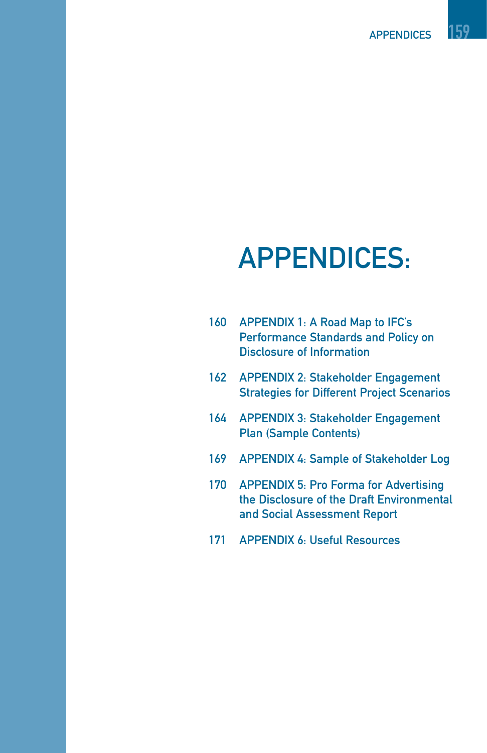APPENDICES 159

# APPENDICES:

| 160 | APPENDIX 1: A Road Map to IFC's            |
|-----|--------------------------------------------|
|     | <b>Performance Standards and Policy on</b> |
|     | Disclosure of Information                  |
|     |                                            |

- 162 APPENDIX 2: Stakeholder Engagement Strategies for Different Project Scenarios
- 164 APPENDIX 3: Stakeholder Engagement Plan (Sample Contents)
- 169 APPENDIX 4: Sample of Stakeholder Log
- 170 APPENDIX 5: Pro Forma for Advertising the Disclosure of the Draft Environmental and Social Assessment Report
- 171 APPENDIX 6: Useful Resources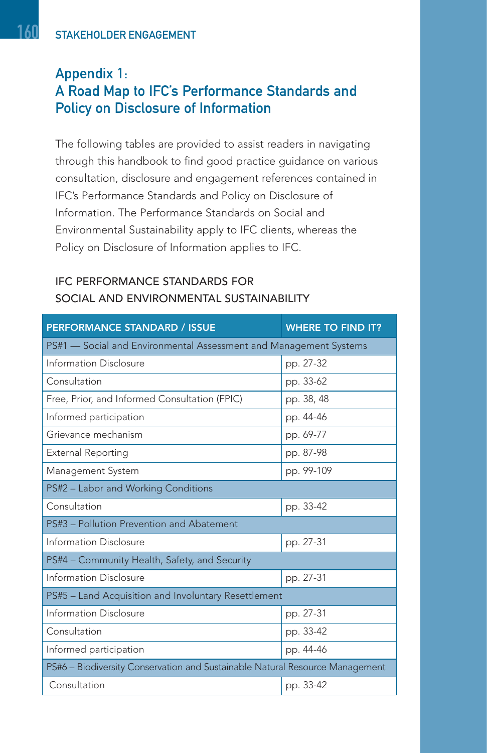# Appendix 1: A Road Map to IFC's Performance Standards and Policy on Disclosure of Information

The following tables are provided to assist readers in navigating through this handbook to find good practice guidance on various consultation, disclosure and engagement references contained in IFC's Performance Standards and Policy on Disclosure of Information. The Performance Standards on Social and Environmental Sustainability apply to IFC clients, whereas the Policy on Disclosure of Information applies to IFC.

| <b>PERFORMANCE STANDARD / ISSUE</b>                                          | <b>WHERE TO FIND IT?</b> |  |  |  |
|------------------------------------------------------------------------------|--------------------------|--|--|--|
| PS#1 - Social and Environmental Assessment and Management Systems            |                          |  |  |  |
| Information Disclosure                                                       | pp. 27-32                |  |  |  |
| Consultation                                                                 | pp. 33-62                |  |  |  |
| Free, Prior, and Informed Consultation (FPIC)                                | pp. 38, 48               |  |  |  |
| Informed participation                                                       | pp. 44-46                |  |  |  |
| Grievance mechanism                                                          | pp. 69-77                |  |  |  |
| <b>External Reporting</b>                                                    | pp. 87-98                |  |  |  |
| Management System                                                            | pp. 99-109               |  |  |  |
| PS#2 - Labor and Working Conditions                                          |                          |  |  |  |
| Consultation                                                                 | pp. 33-42                |  |  |  |
| PS#3 - Pollution Prevention and Abatement                                    |                          |  |  |  |
| Information Disclosure                                                       | pp. 27-31                |  |  |  |
| PS#4 - Community Health, Safety, and Security                                |                          |  |  |  |
| Information Disclosure                                                       | pp. 27-31                |  |  |  |
| PS#5 - Land Acquisition and Involuntary Resettlement                         |                          |  |  |  |
| Information Disclosure                                                       | pp. 27-31                |  |  |  |
| Consultation                                                                 | pp. 33-42                |  |  |  |
| Informed participation                                                       | pp. 44-46                |  |  |  |
| PS#6 - Biodiversity Conservation and Sustainable Natural Resource Management |                          |  |  |  |
| Consultation                                                                 | pp. 33-42                |  |  |  |

#### IFC PERFORMANCE STANDARDS FOR SOCIAL AND ENVIRONMENTAL SUSTAINABILITY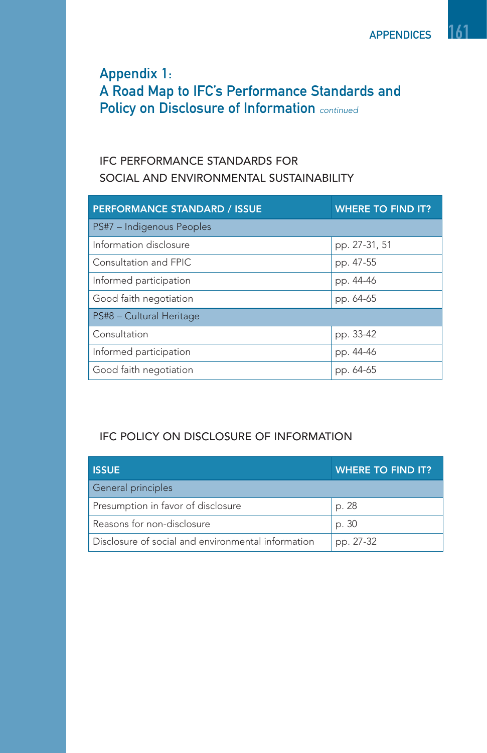# Appendix 1: A Road Map to IFC's Performance Standards and Policy on Disclosure of Information continued

### IFC PERFORMANCE STANDARDS FOR SOCIAL AND ENVIRONMENTAL SUSTAINABILITY

| <b>PERFORMANCE STANDARD / ISSUE</b> | <b>WHERE TO FIND IT?</b> |
|-------------------------------------|--------------------------|
| PS#7 - Indigenous Peoples           |                          |
| Information disclosure              | pp. 27-31, 51            |
| Consultation and FPIC               | pp. 47-55                |
| Informed participation              | pp. 44-46                |
| Good faith negotiation              | pp. 64-65                |
| PS#8 - Cultural Heritage            |                          |
| Consultation                        | pp. 33-42                |
| Informed participation              | pp. 44-46                |
| Good faith negotiation              | pp. 64-65                |

#### IFC POLICY ON DISCLOSURE OF INFORMATION

| <b>ISSUE</b>                                       | <b>WHERE TO FIND IT?</b> |
|----------------------------------------------------|--------------------------|
| General principles                                 |                          |
| Presumption in favor of disclosure                 | p. 28                    |
| Reasons for non-disclosure                         | p. 30                    |
| Disclosure of social and environmental information | pp. 27-32                |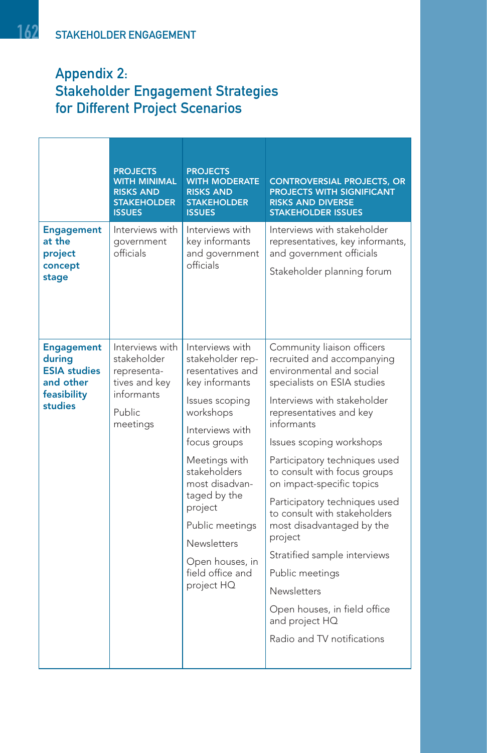# Appendix 2: Stakeholder Engagement Strategies for Different Project Scenarios

|                                                                                           | <b>PROJECTS</b><br>WITH MINIMAL<br><b>RISKS AND</b><br><b>STAKEHOLDER</b><br><b>ISSUES</b>                | <b>PROJECTS</b><br><b>WITH MODERATE</b><br><b>RISKS AND</b><br><b>STAKEHOLDER</b><br><b>ISSUES</b>                                                                                                                                                                                                                      | <b>CONTROVERSIAL PROJECTS, OR</b><br>PROJECTS WITH SIGNIFICANT<br><b>RISKS AND DIVERSE</b><br><b>STAKEHOLDER ISSUES</b>                                                                                                                                                                                                                                                                                                                                                                                                                                                                 |
|-------------------------------------------------------------------------------------------|-----------------------------------------------------------------------------------------------------------|-------------------------------------------------------------------------------------------------------------------------------------------------------------------------------------------------------------------------------------------------------------------------------------------------------------------------|-----------------------------------------------------------------------------------------------------------------------------------------------------------------------------------------------------------------------------------------------------------------------------------------------------------------------------------------------------------------------------------------------------------------------------------------------------------------------------------------------------------------------------------------------------------------------------------------|
| <b>Engagement</b><br>at the<br>project<br>concept<br>stage                                | Interviews with<br>qovernment<br>officials                                                                | Interviews with<br>key informants<br>and government<br>officials                                                                                                                                                                                                                                                        | Interviews with stakeholder<br>representatives, key informants,<br>and government officials<br>Stakeholder planning forum                                                                                                                                                                                                                                                                                                                                                                                                                                                               |
| <b>Engagement</b><br>during<br><b>ESIA</b> studies<br>and other<br>feasibility<br>studies | Interviews with<br>stakeholder<br>representa-<br>tives and key<br>informants<br><b>Public</b><br>meetings | Interviews with<br>stakeholder rep-<br>resentatives and<br>key informants<br>Issues scoping<br>workshops<br>Interviews with<br>focus groups<br>Meetings with<br>stakeholders<br>most disadvan-<br>taged by the<br>project<br>Public meetings<br><b>Newsletters</b><br>Open houses, in<br>field office and<br>project HQ | Community liaison officers<br>recruited and accompanying<br>environmental and social<br>specialists on ESIA studies<br>Interviews with stakeholder<br>representatives and key<br>informants<br>Issues scoping workshops<br>Participatory techniques used<br>to consult with focus groups<br>on impact-specific topics<br>Participatory techniques used<br>to consult with stakeholders<br>most disadvantaged by the<br>project<br>Stratified sample interviews<br>Public meetings<br><b>Newsletters</b><br>Open houses, in field office<br>and project HQ<br>Radio and TV notifications |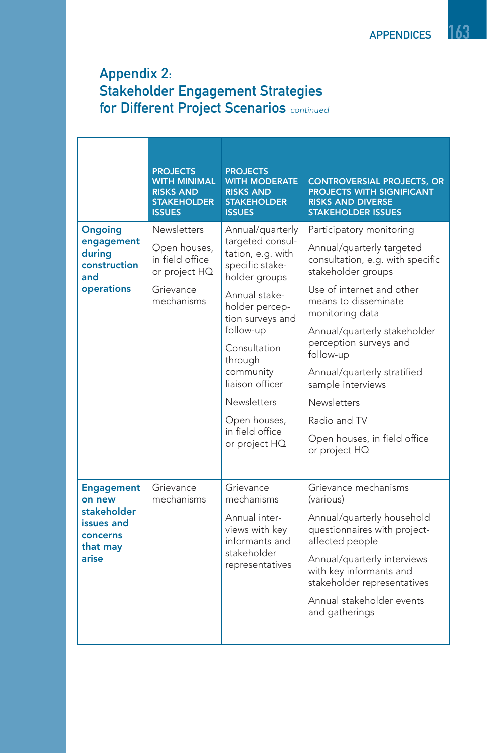# Appendix 2: Stakeholder Engagement Strategies for Different Project Scenarios continued

|                                                                                           | <b>PROJECTS</b><br><b>WITH MINIMAL</b><br><b>RISKS AND</b><br><b>STAKEHOLDER</b><br><b>ISSUES</b> | <b>PROJECTS</b><br><b>WITH MODERATE</b><br><b>RISKS AND</b><br><b>STAKEHOLDER</b><br><b>ISSUES</b>                                                                                                                                                                                                     | <b>CONTROVERSIAL PROJECTS, OR</b><br><b>PROJECTS WITH SIGNIFICANT</b><br><b>RISKS AND DIVERSE</b><br><b>STAKEHOLDER ISSUES</b>                                                                                                                                                                                                                                                                     |
|-------------------------------------------------------------------------------------------|---------------------------------------------------------------------------------------------------|--------------------------------------------------------------------------------------------------------------------------------------------------------------------------------------------------------------------------------------------------------------------------------------------------------|----------------------------------------------------------------------------------------------------------------------------------------------------------------------------------------------------------------------------------------------------------------------------------------------------------------------------------------------------------------------------------------------------|
| <b>Ongoing</b><br>engagement<br>during<br>construction<br>and<br>operations               | <b>Newsletters</b><br>Open houses,<br>in field office<br>or project HQ<br>Grievance<br>mechanisms | Annual/quarterly<br>targeted consul-<br>tation, e.g. with<br>specific stake-<br>holder groups<br>Annual stake-<br>holder percep-<br>tion surveys and<br>follow-up<br>Consultation<br>through<br>community<br>liaison officer<br><b>Newsletters</b><br>Open houses,<br>in field office<br>or project HQ | Participatory monitoring<br>Annual/quarterly targeted<br>consultation, e.g. with specific<br>stakeholder groups<br>Use of internet and other<br>means to disseminate<br>monitoring data<br>Annual/quarterly stakeholder<br>perception surveys and<br>follow-up<br>Annual/quarterly stratified<br>sample interviews<br>Newsletters<br>Radio and TV<br>Open houses, in field office<br>or project HQ |
| <b>Engagement</b><br>on new<br>stakeholder<br>issues and<br>concerns<br>that may<br>arise | Grievance<br>mechanisms                                                                           | Grievance<br>mechanisms<br>Annual inter-<br>views with key<br>informants and<br>stakeholder<br>representatives                                                                                                                                                                                         | Grievance mechanisms<br>(various)<br>Annual/quarterly household<br>questionnaires with project-<br>affected people<br>Annual/quarterly interviews<br>with key informants and<br>stakeholder representatives<br>Annual stakeholder events<br>and gatherings                                                                                                                                         |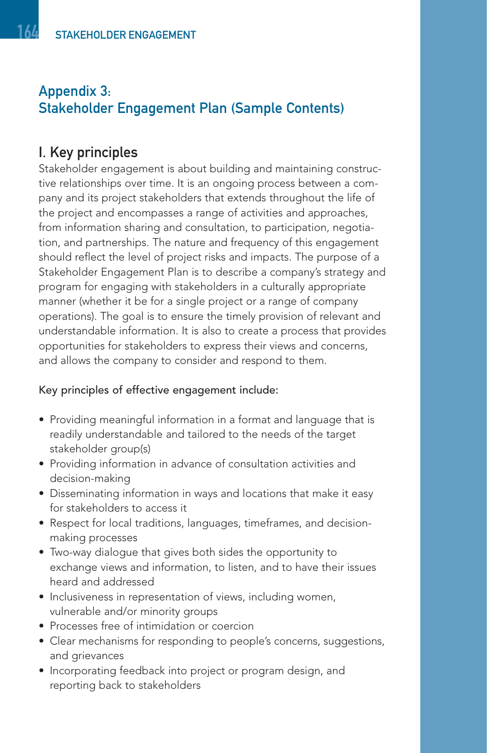# I. Key principles

Stakeholder engagement is about building and maintaining constructive relationships over time. It is an ongoing process between a company and its project stakeholders that extends throughout the life of the project and encompasses a range of activities and approaches, from information sharing and consultation, to participation, negotiation, and partnerships. The nature and frequency of this engagement should reflect the level of project risks and impacts. The purpose of a Stakeholder Engagement Plan is to describe a company's strategy and program for engaging with stakeholders in a culturally appropriate manner (whether it be for a single project or a range of company operations). The goal is to ensure the timely provision of relevant and understandable information. It is also to create a process that provides opportunities for stakeholders to express their views and concerns, and allows the company to consider and respond to them.

#### Key principles of effective engagement include:

- Providing meaningful information in a format and language that is readily understandable and tailored to the needs of the target stakeholder group(s)
- Providing information in advance of consultation activities and decision-making
- Disseminating information in ways and locations that make it easy for stakeholders to access it
- Respect for local traditions, languages, timeframes, and decisionmaking processes
- Two-way dialogue that gives both sides the opportunity to exchange views and information, to listen, and to have their issues heard and addressed
- Inclusiveness in representation of views, including women, vulnerable and/or minority groups
- Processes free of intimidation or coercion
- Clear mechanisms for responding to people's concerns, suggestions, and grievances
- Incorporating feedback into project or program design, and reporting back to stakeholders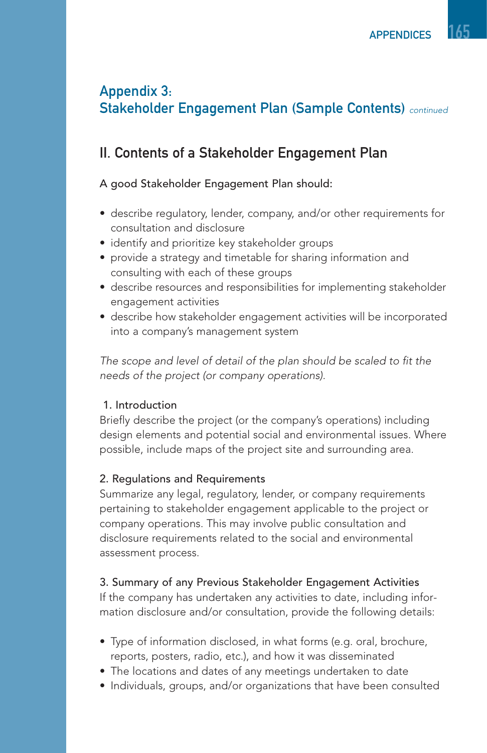# II. Contents of a Stakeholder Engagement Plan

#### A good Stakeholder Engagement Plan should:

- describe regulatory, lender, company, and/or other requirements for consultation and disclosure
- identify and prioritize key stakeholder groups
- provide a strategy and timetable for sharing information and consulting with each of these groups
- describe resources and responsibilities for implementing stakeholder engagement activities
- describe how stakeholder engagement activities will be incorporated into a company's management system

The scope and level of detail of the plan should be scaled to fit the needs of the project (or company operations).

#### 1. Introduction

Briefly describe the project (or the company's operations) including design elements and potential social and environmental issues. Where possible, include maps of the project site and surrounding area.

#### 2. Regulations and Requirements

Summarize any legal, regulatory, lender, or company requirements pertaining to stakeholder engagement applicable to the project or company operations. This may involve public consultation and disclosure requirements related to the social and environmental assessment process.

#### 3. Summary of any Previous Stakeholder Engagement Activities

If the company has undertaken any activities to date, including information disclosure and/or consultation, provide the following details:

- Type of information disclosed, in what forms (e.g. oral, brochure, reports, posters, radio, etc.), and how it was disseminated
- The locations and dates of any meetings undertaken to date
- Individuals, groups, and/or organizations that have been consulted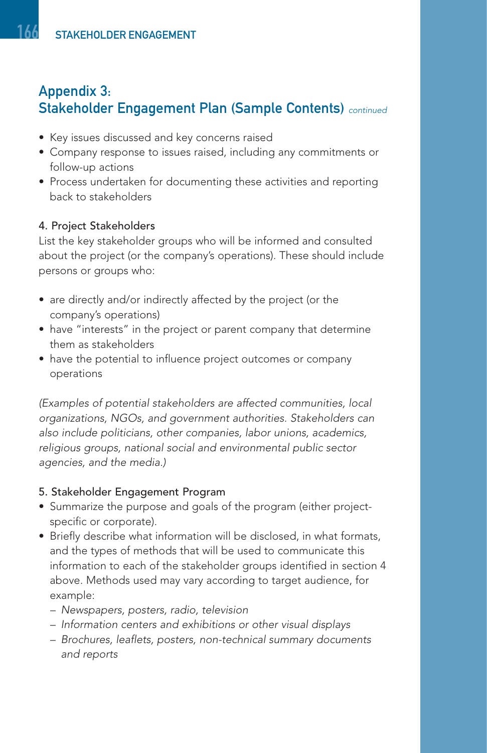- Key issues discussed and key concerns raised
- Company response to issues raised, including any commitments or follow-up actions
- Process undertaken for documenting these activities and reporting back to stakeholders

#### 4. Project Stakeholders

List the key stakeholder groups who will be informed and consulted about the project (or the company's operations). These should include persons or groups who:

- are directly and/or indirectly affected by the project (or the company's operations)
- have "interests" in the project or parent company that determine them as stakeholders
- have the potential to influence project outcomes or company operations

(Examples of potential stakeholders are affected communities, local organizations, NGOs, and government authorities. Stakeholders can also include politicians, other companies, labor unions, academics, religious groups, national social and environmental public sector agencies, and the media.)

#### 5. Stakeholder Engagement Program

- Summarize the purpose and goals of the program (either projectspecific or corporate).
- Briefly describe what information will be disclosed, in what formats, and the types of methods that will be used to communicate this information to each of the stakeholder groups identified in section 4 above. Methods used may vary according to target audience, for example:
	- Newspapers, posters, radio, television
	- Information centers and exhibitions or other visual displays
	- Brochures, leaflets, posters, non-technical summary documents and reports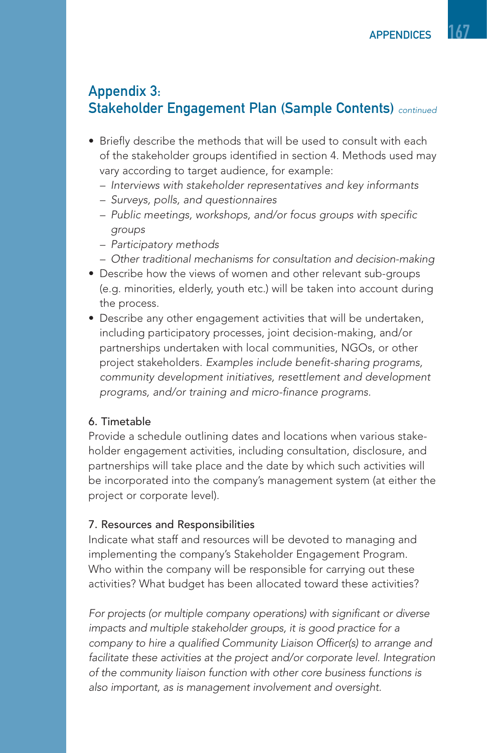- Briefly describe the methods that will be used to consult with each of the stakeholder groups identified in section 4. Methods used may vary according to target audience, for example:
	- Interviews with stakeholder representatives and key informants
	- Surveys, polls, and questionnaires
	- Public meetings, workshops, and/or focus groups with specific groups
	- Participatory methods
	- Other traditional mechanisms for consultation and decision-making
- Describe how the views of women and other relevant sub-groups (e.g. minorities, elderly, youth etc.) will be taken into account during the process.
- Describe any other engagement activities that will be undertaken, including participatory processes, joint decision-making, and/or partnerships undertaken with local communities, NGOs, or other project stakeholders. Examples include benefit-sharing programs, community development initiatives, resettlement and development programs, and/or training and micro-finance programs.

#### 6. Timetable

Provide a schedule outlining dates and locations when various stakeholder engagement activities, including consultation, disclosure, and partnerships will take place and the date by which such activities will be incorporated into the company's management system (at either the project or corporate level).

#### 7. Resources and Responsibilities

Indicate what staff and resources will be devoted to managing and implementing the company's Stakeholder Engagement Program. Who within the company will be responsible for carrying out these activities? What budget has been allocated toward these activities?

For projects (or multiple company operations) with significant or diverse impacts and multiple stakeholder groups, it is good practice for a company to hire a qualified Community Liaison Officer(s) to arrange and facilitate these activities at the project and/or corporate level. Integration of the community liaison function with other core business functions is also important, as is management involvement and oversight.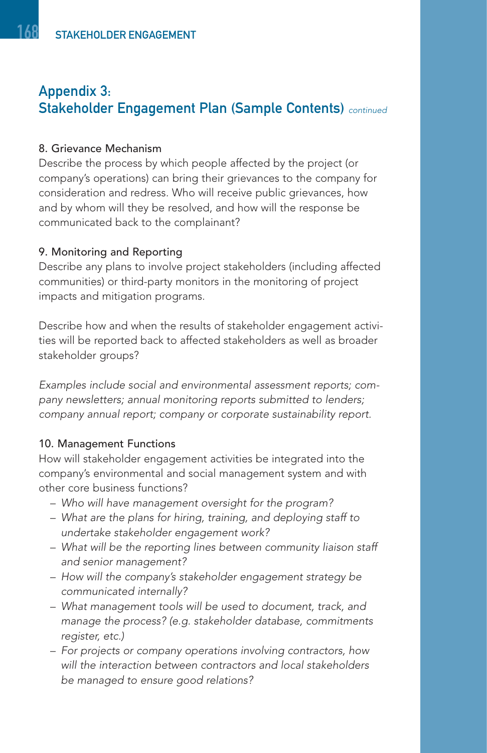#### 8. Grievance Mechanism

Describe the process by which people affected by the project (or company's operations) can bring their grievances to the company for consideration and redress. Who will receive public grievances, how and by whom will they be resolved, and how will the response be communicated back to the complainant?

#### 9. Monitoring and Reporting

Describe any plans to involve project stakeholders (including affected communities) or third-party monitors in the monitoring of project impacts and mitigation programs.

Describe how and when the results of stakeholder engagement activities will be reported back to affected stakeholders as well as broader stakeholder groups?

Examples include social and environmental assessment reports; company newsletters; annual monitoring reports submitted to lenders; company annual report; company or corporate sustainability report.

#### 10. Management Functions

How will stakeholder engagement activities be integrated into the company's environmental and social management system and with other core business functions?

- Who will have management oversight for the program?
- What are the plans for hiring, training, and deploying staff to undertake stakeholder engagement work?
- What will be the reporting lines between community liaison staff and senior management?
- How will the company's stakeholder engagement strategy be communicated internally?
- What management tools will be used to document, track, and manage the process? (e.g. stakeholder database, commitments register, etc.)
- For projects or company operations involving contractors, how will the interaction between contractors and local stakeholders be managed to ensure good relations?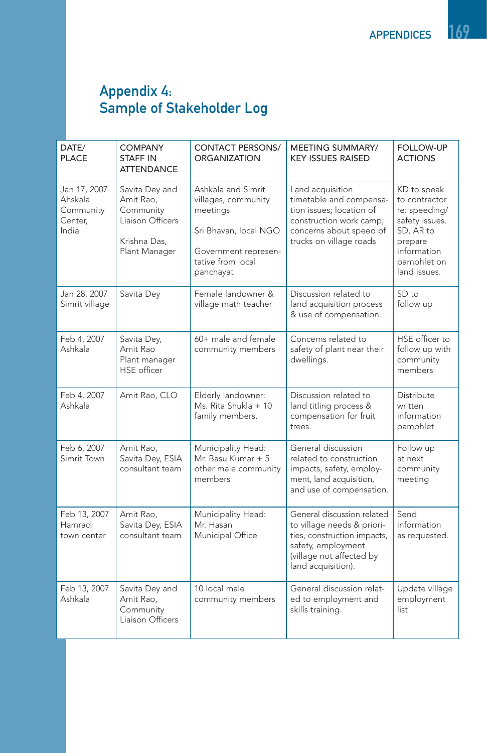## Appendix 4: Sample of Stakeholder Log

| DATE/<br><b>PLACE</b>                                    | <b>COMPANY</b><br><b>STAFF IN</b><br><b>ATTENDANCE</b>                                        | <b>CONTACT PERSONS/</b><br><b>ORGANIZATION</b>                                                                                           | MEETING SUMMARY/<br><b>KEY ISSUES RAISED</b>                                                                                                                    | <b>FOLLOW-UP</b><br><b>ACTIONS</b>                                                                                                    |
|----------------------------------------------------------|-----------------------------------------------------------------------------------------------|------------------------------------------------------------------------------------------------------------------------------------------|-----------------------------------------------------------------------------------------------------------------------------------------------------------------|---------------------------------------------------------------------------------------------------------------------------------------|
| Jan 17, 2007<br>Ahskala<br>Community<br>Center,<br>India | Savita Dey and<br>Amit Rao,<br>Community<br>Liaison Officers<br>Krishna Das,<br>Plant Manager | Ashkala and Simrit<br>villages, community<br>meetings<br>Sri Bhavan, local NGO<br>Government represen-<br>tative from local<br>panchayat | Land acquisition<br>timetable and compensa-<br>tion issues: location of<br>construction work camp;<br>concerns about speed of<br>trucks on village roads        | KD to speak<br>to contractor<br>re: speeding/<br>safety issues.<br>SD, AR to<br>prepare<br>information<br>pamphlet on<br>land issues. |
| Jan 28, 2007<br>Simrit village                           | Savita Dey                                                                                    | Female landowner &<br>village math teacher                                                                                               | Discussion related to<br>land acquisition process<br>& use of compensation.                                                                                     | $SD$ to<br>follow up                                                                                                                  |
| Feb 4, 2007<br>Ashkala                                   | Savita Dey,<br>Amit Rao<br>Plant manager<br><b>HSE</b> officer                                | 60+ male and female<br>community members                                                                                                 | Concerns related to<br>safety of plant near their<br>dwellings.                                                                                                 | HSE officer to<br>follow up with<br>community<br>members                                                                              |
| Feb 4, 2007<br>Ashkala                                   | Amit Rao, CLO                                                                                 | Elderly landowner:<br>Ms. Rita Shukla + 10<br>family members.                                                                            | Discussion related to<br>land titling process &<br>compensation for fruit<br>trees.                                                                             | Distribute<br>written<br>information<br>pamphlet                                                                                      |
| Feb 6, 2007<br>Simrit Town                               | Amit Rao,<br>Savita Dey, ESIA<br>consultant team                                              | Municipality Head:<br>Mr. Basu Kumar + 5<br>other male community<br>members                                                              | General discussion<br>related to construction<br>impacts, safety, employ-<br>ment, land acquisition,<br>and use of compensation.                                | Follow up<br>at next<br>community<br>meeting                                                                                          |
| Feb 13, 2007<br>Hamradi<br>town center                   | Amit Rao,<br>Savita Dey, ESIA<br>consultant team                                              | Municipality Head:<br>Mr. Hasan<br>Municipal Office                                                                                      | General discussion related<br>to village needs & priori-<br>ties, construction impacts,<br>safety, employment<br>(village not affected by<br>land acquisition). | Send<br>information<br>as requested.                                                                                                  |
| Feb 13, 2007<br>Ashkala                                  | Savita Dey and<br>Amit Rao,<br>Community<br>Liaison Officers                                  | 10 local male<br>community members                                                                                                       | General discussion relat-<br>ed to employment and<br>skills training.                                                                                           | Update village<br>employment<br>list                                                                                                  |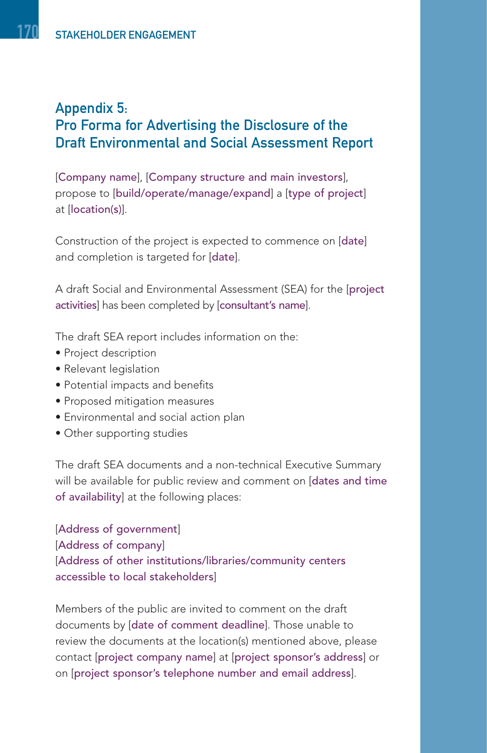## Appendix 5: Pro Forma for Advertising the Disclosure of the Draft Environmental and Social Assessment Report

[Company name], [Company structure and main investors], propose to [build/operate/manage/expand] a [type of project] at [location(s)].

Construction of the project is expected to commence on [date] and completion is targeted for [date].

A draft Social and Environmental Assessment (SEA) for the [project activities] has been completed by [consultant's name].

The draft SEA report includes information on the:

- Project description
- Relevant legislation
- Potential impacts and benefits
- Proposed mitigation measures
- Environmental and social action plan
- Other supporting studies

The draft SEA documents and a non-technical Executive Summary will be available for public review and comment on [dates and time of availability] at the following places:

[Address of government] [Address of company] [Address of other institutions/libraries/community centers accessible to local stakeholders]

Members of the public are invited to comment on the draft documents by [date of comment deadline]. Those unable to review the documents at the location(s) mentioned above, please contact [project company name] at [project sponsor's address] or on [project sponsor's telephone number and email address].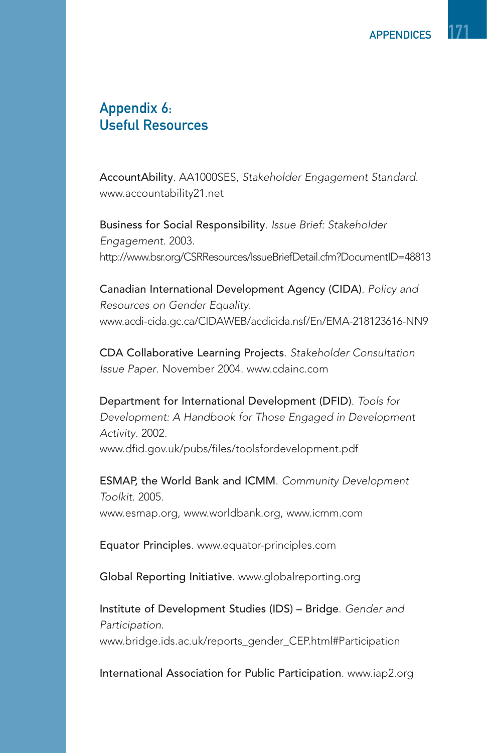## Appendix 6: Useful Resources

AccountAbility. AA1000SES, Stakeholder Engagement Standard. www.accountability21.net

Business for Social Responsibility. Issue Brief: Stakeholder Engagement. 2003. http://www.bsr.org/CSRResources/IssueBriefDetail.cfm?DocumentID=48813

Canadian International Development Agency (CIDA). Policy and Resources on Gender Equality. www.acdi-cida.gc.ca/CIDAWEB/acdicida.nsf/En/EMA-218123616-NN9

CDA Collaborative Learning Projects. Stakeholder Consultation Issue Paper. November 2004. www.cdainc.com

Department for International Development (DFID). Tools for Development: A Handbook for Those Engaged in Development Activity. 2002. www.dfid.gov.uk/pubs/files/toolsfordevelopment.pdf

ESMAP, the World Bank and ICMM. Community Development Toolkit. 2005. www.esmap.org, www.worldbank.org, www.icmm.com

Equator Principles. www.equator-principles.com

Global Reporting Initiative. www.globalreporting.org

Institute of Development Studies (IDS) – Bridge. Gender and Participation. www.bridge.ids.ac.uk/reports\_gender\_CEP.html#Participation

International Association for Public Participation. www.iap2.org